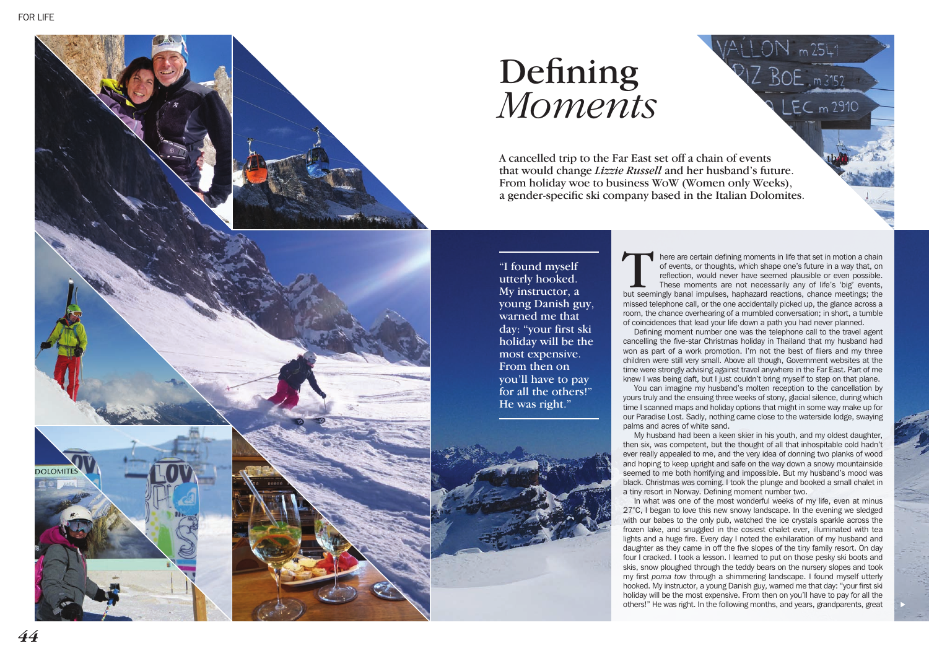

## Defining *Moments*

A cancelled trip to the Far East set off a chain of events that would change *Lizzie Russell* and her husband's future. From holiday woe to business WoW (Women only Weeks), a gender-specific ski company based in the Italian Dolomites.

utterly hooked. My instructor, a young Danish guy, warned me that day: "your first ski holiday will be the most expensive. From then on you'll have to pay for all the others!" He was right."

here are certain defining moments in life that set in motion a chain of events, or thoughts, which shape one's future in a way that, on reflection, would never have seemed plausible or even possible. These moments are not necessarily any of life's 'big' events, but seemingly banal impulses, haphazard reactions, chance meetings; the missed telephone call, or the one accidentally picked up, the glance across a room, the chance overhearing of a mumbled conversation; in short, a tumble of coincidences that lead your life down a path you had never planned.

 $EC$  m 2910

Defining moment number one was the telephone call to the travel agent cancelling the five-star Christmas holiday in Thailand that my husband had won as part of a work promotion. I'm not the best of fliers and my three children were still very small. Above all though, Government websites at the time were strongly advising against travel anywhere in the Far East. Part of me knew I was being daft, but I just couldn't bring myself to step on that plane.

You can imagine my husband's molten reception to the cancellation by yours truly and the ensuing three weeks of stony, glacial silence, during which time I scanned maps and holiday options that might in some way make up for our Paradise Lost. Sadly, nothing came close to the waterside lodge, swaying palms and acres of white sand.

My husband had been a keen skier in his youth, and my oldest daughter, then six, was competent, but the thought of all that inhospitable cold hadn't ever really appealed to me, and the very idea of donning two planks of wood and hoping to keep upright and safe on the way down a snowy mountainside seemed to me both horrifying and impossible. But my husband's mood was black. Christmas was coming. I took the plunge and booked a small chalet in a tiny resort in Norway. Defining moment number two.

In what was one of the most wonderful weeks of my life, even at minus 27°C, I began to love this new snowy landscape. In the evening we sledged with our babes to the only pub, watched the ice crystals sparkle across the frozen lake, and snuggled in the cosiest chalet ever, illuminated with tea lights and a huge fire. Every day I noted the exhilaration of my husband and daughter as they came in off the five slopes of the tiny family resort. On day four I cracked. I took a lesson. I learned to put on those pesky ski boots and skis, snow ploughed through the teddy bears on the nursery slopes and took my first *poma tow* through a shimmering landscape. I found myself utterly hooked. My instructor, a young Danish guy, warned me that day: "your first ski holiday will be the most expensive. From then on you'll have to pay for all the Thound myself the search in the mean of the mean one was the following mone on so that is an interest of the search in the following Danish grandpart are proposed in the search and year the mean of the search and year of t